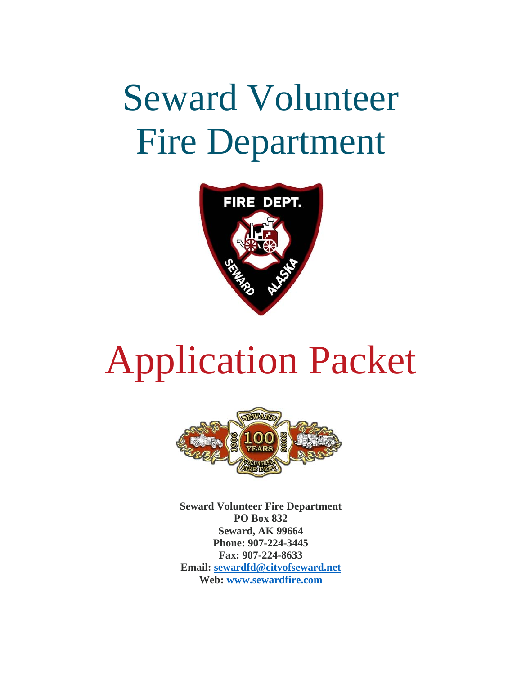## Seward Volunteer Fire Department



# Application Packet



**Seward Volunteer Fire Department PO Box 832 Seward, AK 99664 Phone: 907-224-3445 Fax: 907-224-8633 Email: sewardfd@citvofseward.net Web: www.sewardfire.com**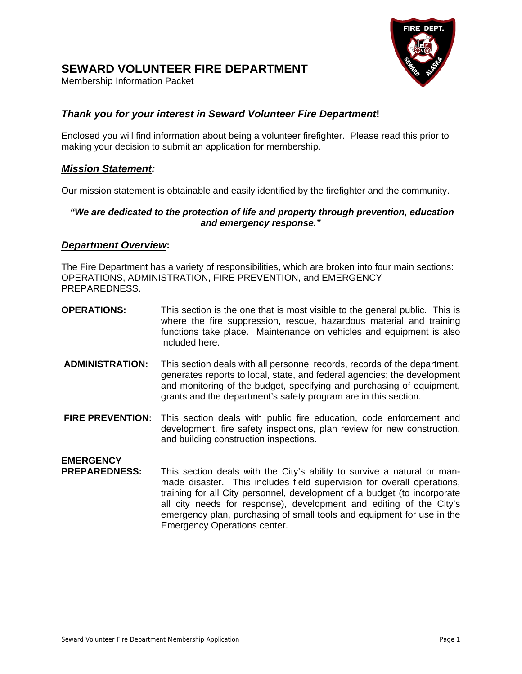## FIRE **DEPT**

#### **SEWARD VOLUNTEER FIRE DEPARTMENT**

Membership Information Packet

#### *Thank you for your interest in Seward Volunteer Fire Department***!**

Enclosed you will find information about being a volunteer firefighter. Please read this prior to making your decision to submit an application for membership.

#### *Mission Statement:*

Our mission statement is obtainable and easily identified by the firefighter and the community.

#### *"We are dedicated to the protection of life and property through prevention, education and emergency response."*

#### *Department Overview***:**

The Fire Department has a variety of responsibilities, which are broken into four main sections: OPERATIONS, ADMINISTRATION, FIRE PREVENTION, and EMERGENCY PREPAREDNESS.

- **OPERATIONS:** This section is the one that is most visible to the general public. This is where the fire suppression, rescue, hazardous material and training functions take place. Maintenance on vehicles and equipment is also included here.
- **ADMINISTRATION:** This section deals with all personnel records, records of the department, generates reports to local, state, and federal agencies; the development and monitoring of the budget, specifying and purchasing of equipment, grants and the department's safety program are in this section.
- **FIRE PREVENTION:** This section deals with public fire education, code enforcement and development, fire safety inspections, plan review for new construction, and building construction inspections.

## **EMERGENCY**

**PREPAREDNESS:** This section deals with the City's ability to survive a natural or manmade disaster. This includes field supervision for overall operations, training for all City personnel, development of a budget (to incorporate all city needs for response), development and editing of the City's emergency plan, purchasing of small tools and equipment for use in the Emergency Operations center.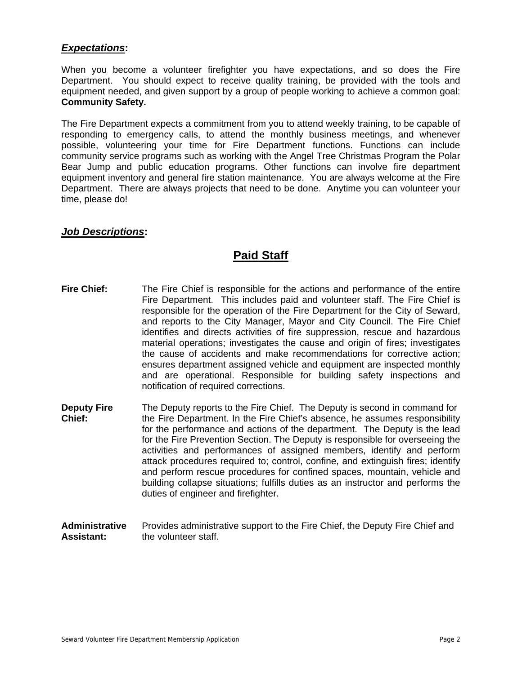#### *Expectations***:**

When you become a volunteer firefighter you have expectations, and so does the Fire Department. You should expect to receive quality training, be provided with the tools and equipment needed, and given support by a group of people working to achieve a common goal: **Community Safety.** 

The Fire Department expects a commitment from you to attend weekly training, to be capable of responding to emergency calls, to attend the monthly business meetings, and whenever possible, volunteering your time for Fire Department functions. Functions can include community service programs such as working with the Angel Tree Christmas Program the Polar Bear Jump and public education programs. Other functions can involve fire department equipment inventory and general fire station maintenance. You are always welcome at the Fire Department. There are always projects that need to be done. Anytime you can volunteer your time, please do!

#### *Job Descriptions***:**

#### **Paid Staff**

- **Fire Chief:** The Fire Chief is responsible for the actions and performance of the entire Fire Department. This includes paid and volunteer staff. The Fire Chief is responsible for the operation of the Fire Department for the City of Seward, and reports to the City Manager, Mayor and City Council. The Fire Chief identifies and directs activities of fire suppression, rescue and hazardous material operations; investigates the cause and origin of fires; investigates the cause of accidents and make recommendations for corrective action; ensures department assigned vehicle and equipment are inspected monthly and are operational. Responsible for building safety inspections and notification of required corrections.
- **Deputy Fire** The Deputy reports to the Fire Chief. The Deputy is second in command for **Chief:** the Fire Department. In the Fire Chief's absence, he assumes responsibility for the performance and actions of the department. The Deputy is the lead for the Fire Prevention Section. The Deputy is responsible for overseeing the activities and performances of assigned members, identify and perform attack procedures required to; control, confine, and extinguish fires; identify and perform rescue procedures for confined spaces, mountain, vehicle and building collapse situations; fulfills duties as an instructor and performs the duties of engineer and firefighter.
- **Administrative** Provides administrative support to the Fire Chief, the Deputy Fire Chief and **Assistant:** the volunteer staff.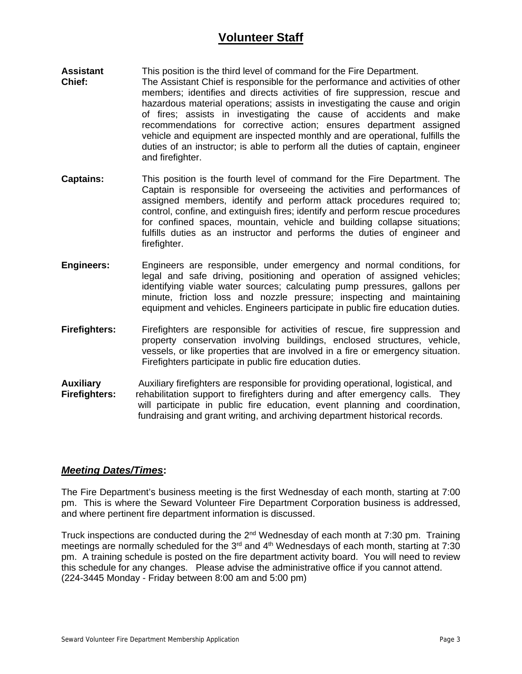#### **Volunteer Staff**

- **Assistant** This position is the third level of command for the Fire Department. **Chief:** The Assistant Chief is responsible for the performance and activities of other members; identifies and directs activities of fire suppression, rescue and hazardous material operations; assists in investigating the cause and origin of fires; assists in investigating the cause of accidents and make recommendations for corrective action; ensures department assigned vehicle and equipment are inspected monthly and are operational, fulfills the duties of an instructor; is able to perform all the duties of captain, engineer and firefighter.
- **Captains:** This position is the fourth level of command for the Fire Department. The Captain is responsible for overseeing the activities and performances of assigned members, identify and perform attack procedures required to; control, confine, and extinguish fires; identify and perform rescue procedures for confined spaces, mountain, vehicle and building collapse situations; fulfills duties as an instructor and performs the duties of engineer and firefighter.
- **Engineers:** Engineers are responsible, under emergency and normal conditions, for legal and safe driving, positioning and operation of assigned vehicles; identifying viable water sources; calculating pump pressures, gallons per minute, friction loss and nozzle pressure; inspecting and maintaining equipment and vehicles. Engineers participate in public fire education duties.
- **Firefighters:** Firefighters are responsible for activities of rescue, fire suppression and property conservation involving buildings, enclosed structures, vehicle, vessels, or like properties that are involved in a fire or emergency situation. Firefighters participate in public fire education duties.
- **Auxiliary** Auxiliary firefighters are responsible for providing operational, logistical, and **Firefighters:** rehabilitation support to firefighters during and after emergency calls. They will participate in public fire education, event planning and coordination, fundraising and grant writing, and archiving department historical records.

#### *Meeting Dates/Times***:**

The Fire Department's business meeting is the first Wednesday of each month, starting at 7:00 pm. This is where the Seward Volunteer Fire Department Corporation business is addressed, and where pertinent fire department information is discussed.

Truck inspections are conducted during the  $2<sup>nd</sup>$  Wednesday of each month at 7:30 pm. Training meetings are normally scheduled for the  $3<sup>rd</sup>$  and  $4<sup>th</sup>$  Wednesdays of each month, starting at 7:30 pm. A training schedule is posted on the fire department activity board. You will need to review this schedule for any changes. Please advise the administrative office if you cannot attend. (224-3445 Monday - Friday between 8:00 am and 5:00 pm)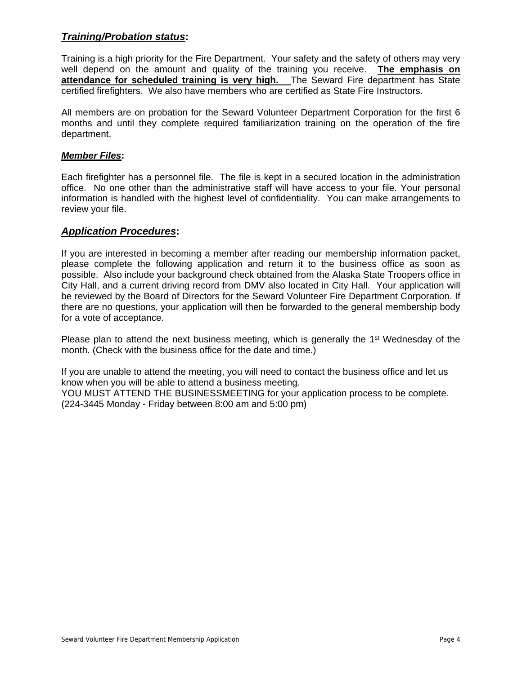#### *Training/Probation status***:**

Training is a high priority for the Fire Department. Your safety and the safety of others may very well depend on the amount and quality of the training you receive. **The emphasis on attendance for scheduled training is very high.** The Seward Fire department has State certified firefighters. We also have members who are certified as State Fire Instructors.

All members are on probation for the Seward Volunteer Department Corporation for the first 6 months and until they complete required familiarization training on the operation of the fire department.

#### *Member Files***:**

Each firefighter has a personnel file. The file is kept in a secured location in the administration office. No one other than the administrative staff will have access to your file. Your personal information is handled with the highest level of confidentiality. You can make arrangements to review your file.

#### *Application Procedures***:**

If you are interested in becoming a member after reading our membership information packet, please complete the following application and return it to the business office as soon as possible. Also include your background check obtained from the Alaska State Troopers office in City Hall, and a current driving record from DMV also located in City Hall. Your application will be reviewed by the Board of Directors for the Seward Volunteer Fire Department Corporation. If there are no questions, your application will then be forwarded to the general membership body for a vote of acceptance.

Please plan to attend the next business meeting, which is generally the 1<sup>st</sup> Wednesday of the month. (Check with the business office for the date and time.)

If you are unable to attend the meeting, you will need to contact the business office and let us know when you will be able to attend a business meeting. YOU MUST ATTEND THE BUSINESSMEETING for your application process to be complete. (224-3445 Monday - Friday between 8:00 am and 5:00 pm)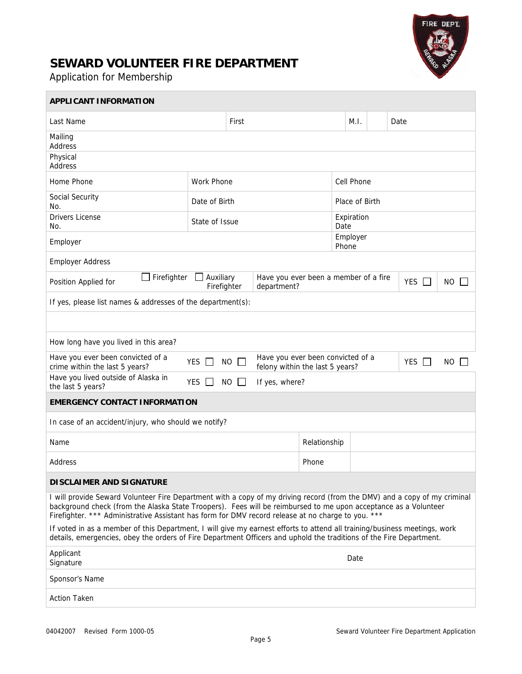

### **SEWARD VOLUNTEER FIRE DEPARTMENT**

Application for Membership

 $\overline{\phantom{a}}$ 

| APPLICANT INFORMATION                                                                                                                                                                                                                                                                                                                              |                   |       |             |                                                            |                   |        |  |  |
|----------------------------------------------------------------------------------------------------------------------------------------------------------------------------------------------------------------------------------------------------------------------------------------------------------------------------------------------------|-------------------|-------|-------------|------------------------------------------------------------|-------------------|--------|--|--|
| Last Name                                                                                                                                                                                                                                                                                                                                          |                   | First |             | M.I.                                                       |                   | Date   |  |  |
| Mailing<br>Address                                                                                                                                                                                                                                                                                                                                 |                   |       |             |                                                            |                   |        |  |  |
| Physical<br>Address                                                                                                                                                                                                                                                                                                                                |                   |       |             |                                                            |                   |        |  |  |
| Home Phone                                                                                                                                                                                                                                                                                                                                         | <b>Work Phone</b> |       |             | Cell Phone                                                 |                   |        |  |  |
| Social Security<br>No.                                                                                                                                                                                                                                                                                                                             | Date of Birth     |       |             |                                                            | Place of Birth    |        |  |  |
| <b>Drivers License</b><br>No.                                                                                                                                                                                                                                                                                                                      | State of Issue    |       |             | Expiration<br>Date                                         |                   |        |  |  |
| Employer                                                                                                                                                                                                                                                                                                                                           |                   |       |             |                                                            | Employer<br>Phone |        |  |  |
| <b>Employer Address</b>                                                                                                                                                                                                                                                                                                                            |                   |       |             |                                                            |                   |        |  |  |
| Firefighter<br>Auxiliary<br>Position Applied for<br>Firefighter                                                                                                                                                                                                                                                                                    |                   |       | department? | Have you ever been a member of a fire<br><b>YES</b><br>NO. |                   |        |  |  |
| If yes, please list names & addresses of the department(s):                                                                                                                                                                                                                                                                                        |                   |       |             |                                                            |                   |        |  |  |
|                                                                                                                                                                                                                                                                                                                                                    |                   |       |             |                                                            |                   |        |  |  |
| How long have you lived in this area?                                                                                                                                                                                                                                                                                                              |                   |       |             |                                                            |                   |        |  |  |
| Have you ever been convicted of a<br>Have you ever been convicted of a<br>YES $\Box$<br>YES $\Box$<br>$NO$ $\Box$<br><b>NO</b><br>crime within the last 5 years?<br>felony within the last 5 years?                                                                                                                                                |                   |       |             |                                                            |                   | $\Box$ |  |  |
| Have you lived outside of Alaska in<br>YES $\Box$<br>NO.<br>If yes, where?<br>$\perp$<br>the last 5 years?                                                                                                                                                                                                                                         |                   |       |             |                                                            |                   |        |  |  |
| <b>EMERGENCY CONTACT INFORMATION</b>                                                                                                                                                                                                                                                                                                               |                   |       |             |                                                            |                   |        |  |  |
| In case of an accident/injury, who should we notify?                                                                                                                                                                                                                                                                                               |                   |       |             |                                                            |                   |        |  |  |
| Name                                                                                                                                                                                                                                                                                                                                               |                   |       |             | Relationship                                               |                   |        |  |  |
| Address                                                                                                                                                                                                                                                                                                                                            |                   |       |             | Phone                                                      |                   |        |  |  |
| <b>DISCLAIMER AND SIGNATURE</b>                                                                                                                                                                                                                                                                                                                    |                   |       |             |                                                            |                   |        |  |  |
| I will provide Seward Volunteer Fire Department with a copy of my driving record (from the DMV) and a copy of my criminal<br>background check (from the Alaska State Troopers). Fees will be reimbursed to me upon acceptance as a Volunteer<br>Firefighter. *** Administrative Assistant has form for DMV record release at no charge to you. *** |                   |       |             |                                                            |                   |        |  |  |
| If voted in as a member of this Department, I will give my earnest efforts to attend all training/business meetings, work<br>details, emergencies, obey the orders of Fire Department Officers and uphold the traditions of the Fire Department.                                                                                                   |                   |       |             |                                                            |                   |        |  |  |
| Applicant<br>Date<br>Signature                                                                                                                                                                                                                                                                                                                     |                   |       |             |                                                            |                   |        |  |  |
| Sponsor's Name                                                                                                                                                                                                                                                                                                                                     |                   |       |             |                                                            |                   |        |  |  |
| <b>Action Taken</b>                                                                                                                                                                                                                                                                                                                                |                   |       |             |                                                            |                   |        |  |  |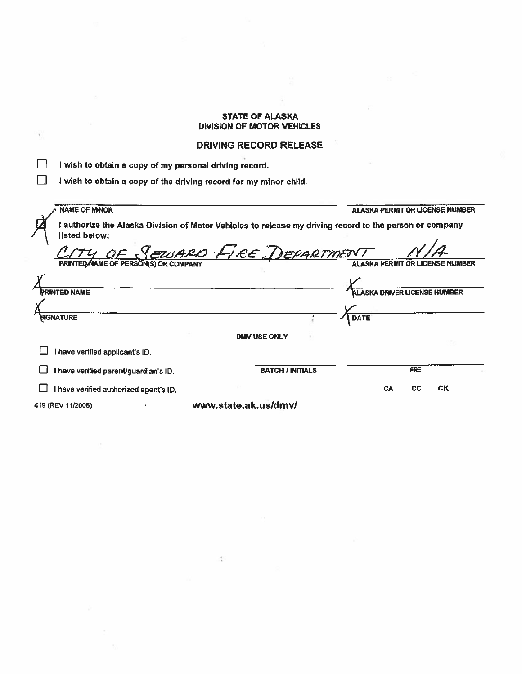#### **STATE OF ALASKA DIVISION OF MOTOR VEHlCLES**

#### **DRIVING RECORD RELEASE**

 $\sim$ 

|  | I wish to obtain a copy of my personal driving record. |  |  |  |  |  |
|--|--------------------------------------------------------|--|--|--|--|--|
|--|--------------------------------------------------------|--|--|--|--|--|

 $\lambda$ 

[3 **I wish to obtain a copy of the driving record for my minor child.** 

| <b>NAME OF MINOR</b>                   |                                                                                                         |             |                                     | <b>ALASKA PERMIT OR LICENSE NUMBER</b> |
|----------------------------------------|---------------------------------------------------------------------------------------------------------|-------------|-------------------------------------|----------------------------------------|
| listed below:                          | I authorize the Alaska Division of Motor Vehicles to release my driving record to the person or company |             |                                     |                                        |
| PRINTED NAME OF PERSON(S) OR COMPANY   | Y OF SEUSARD FIRE DEPARTMENT                                                                            |             |                                     |                                        |
|                                        |                                                                                                         |             |                                     |                                        |
| <b>PRINTED NAME</b>                    |                                                                                                         |             | <b>ALASKA DRIVER LICENSE NUMBER</b> |                                        |
|                                        |                                                                                                         |             |                                     |                                        |
| <b>SIGNATURE</b>                       |                                                                                                         | <b>DATE</b> |                                     |                                        |
|                                        | <b>DMV USE ONLY</b>                                                                                     |             |                                     |                                        |
| I have verified applicant's ID.        |                                                                                                         |             |                                     |                                        |
| I have verified parent/guardian's ID.  | <b>BATCH / INITIALS</b>                                                                                 |             | <b>FEE</b>                          |                                        |
| I have verified authorized agent's ID. |                                                                                                         |             | <b>CA</b><br>СC                     | <b>CK</b>                              |
| 419 (REV 11/2005)                      | www.state.ak.us/dmv/                                                                                    |             |                                     |                                        |

 $\hat{\mathcal{I}}$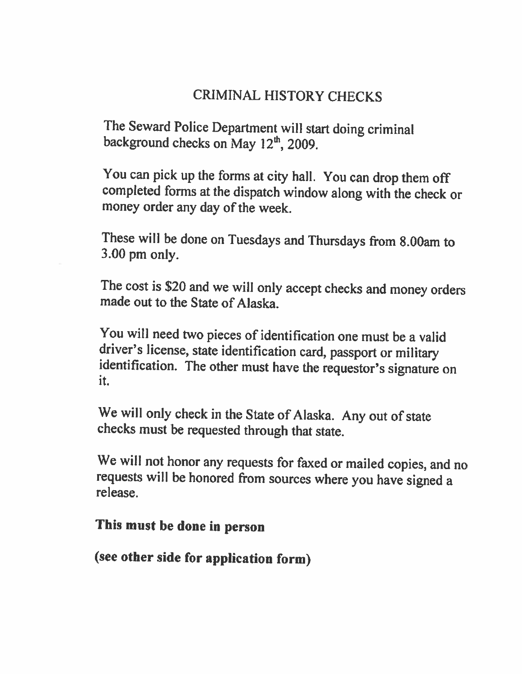## **CRIMINAL HISTORY CHECKS**

**The Seward Police Department will start doing criminal background checks on May 12&, 2009.** 

**You can pick up the fums at city hall. You can drop them off completed** forms **at the dispatch window along with the check or money order any day of the week.** 

**These will be done on Tuesdays and Thursdays &om 8.00arn to 3.00 pm only.** 

**The cost is \$20 and we will only accept checks and money orders made out to the State of Alaska.** 

**You will need two pieces of identification one must be a valid driver's license, state identification card, passport or military identification. The other must have the requestor's signature on it.** 

**We will only check in the State of Alaska. Any out of state checks must be requested through that state.** 

**We will not honor any requests for faxed or mailed copies, and no requests will be honored From sources where you have signed <sup>a</sup> release.** 

### **This must be done in person**

**(see other side for application form)**